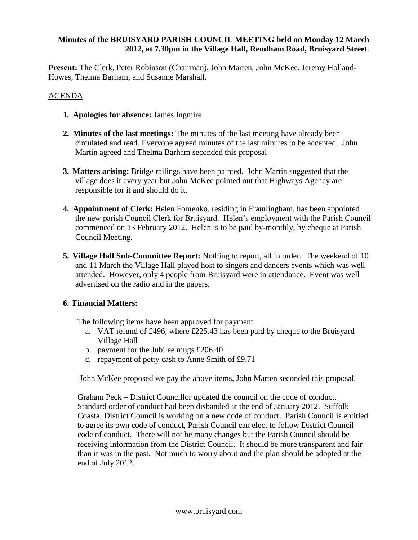## **Minutes of the BRUISYARD PARISH COUNCIL MEETING held on Monday 12 March 2012, at 7.30pm in the Village Hall, Rendham Road, Bruisyard Street**.

**Present:** The Clerk, Peter Robinson (Chairman), John Marten, John McKee, Jeremy Holland-Howes, Thelma Barham, and Susanne Marshall.

## AGENDA

- **1. Apologies for absence:** James Ingmire
- **2. Minutes of the last meetings:** The minutes of the last meeting have already been circulated and read. Everyone agreed minutes of the last minutes to be accepted. John Martin agreed and Thelma Barham seconded this proposal
- **3. Matters arising:** Bridge railings have been painted. John Martin suggested that the village does it every year but John McKee pointed out that Highways Agency are responsible for it and should do it.
- **4. Appointment of Clerk:** Helen Fomenko, residing in Framlingham, has been appointed the new parish Council Clerk for Bruisyard. Helen's employment with the Parish Council commenced on 13 February 2012. Helen is to be paid by-monthly, by cheque at Parish Council Meeting.
- **5. Village Hall Sub-Committee Report:** Nothing to report, all in order. The weekend of 10 and 11 March the Village Hall played host to singers and dancers events which was well attended. However, only 4 people from Bruisyard were in attendance. Event was well advertised on the radio and in the papers.

# **6. Financial Matters:**

The following items have been approved for payment

- a. VAT refund of £496, where £225.43 has been paid by cheque to the Bruisyard Village Hall
- b. payment for the Jubilee mugs £206.40
- c. repayment of petty cash to Anne Smith of £9.71

John McKee proposed we pay the above items, John Marten seconded this proposal.

Graham Peck – District Councillor updated the council on the code of conduct. Standard order of conduct had been disbanded at the end of January 2012. Suffolk Coastal District Council is working on a new code of conduct. Parish Council is entitled to agree its own code of conduct, Parish Council can elect to follow District Council code of conduct. There will not be many changes but the Parish Council should be receiving information from the District Council. It should be more transparent and fair than it was in the past. Not much to worry about and the plan should be adopted at the end of July 2012.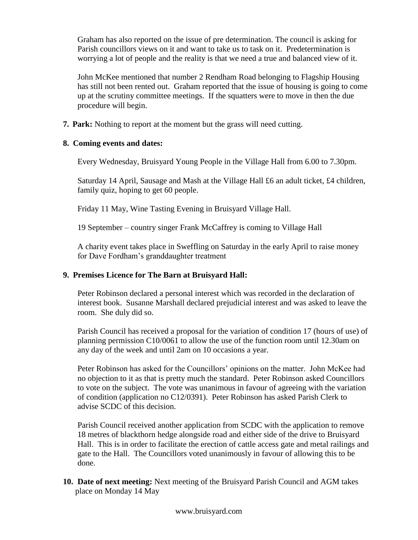Graham has also reported on the issue of pre determination. The council is asking for Parish councillors views on it and want to take us to task on it. Predetermination is worrying a lot of people and the reality is that we need a true and balanced view of it.

John McKee mentioned that number 2 Rendham Road belonging to Flagship Housing has still not been rented out. Graham reported that the issue of housing is going to come up at the scrutiny committee meetings. If the squatters were to move in then the due procedure will begin.

**7. Park:** Nothing to report at the moment but the grass will need cutting.

## **8. Coming events and dates:**

Every Wednesday, Bruisyard Young People in the Village Hall from 6.00 to 7.30pm.

Saturday 14 April, Sausage and Mash at the Village Hall £6 an adult ticket, £4 children, family quiz, hoping to get 60 people.

Friday 11 May, Wine Tasting Evening in Bruisyard Village Hall.

19 September – country singer Frank McCaffrey is coming to Village Hall

A charity event takes place in Sweffling on Saturday in the early April to raise money for Dave Fordham's granddaughter treatment

# **9. Premises Licence for The Barn at Bruisyard Hall:**

Peter Robinson declared a personal interest which was recorded in the declaration of interest book. Susanne Marshall declared prejudicial interest and was asked to leave the room. She duly did so.

Parish Council has received a proposal for the variation of condition 17 (hours of use) of planning permission C10/0061 to allow the use of the function room until 12.30am on any day of the week and until 2am on 10 occasions a year.

Peter Robinson has asked for the Councillors' opinions on the matter. John McKee had no objection to it as that is pretty much the standard. Peter Robinson asked Councillors to vote on the subject. The vote was unanimous in favour of agreeing with the variation of condition (application no C12/0391). Peter Robinson has asked Parish Clerk to advise SCDC of this decision.

Parish Council received another application from SCDC with the application to remove 18 metres of blackthorn hedge alongside road and either side of the drive to Bruisyard Hall. This is in order to facilitate the erection of cattle access gate and metal railings and gate to the Hall. The Councillors voted unanimously in favour of allowing this to be done.

**10. Date of next meeting:** Next meeting of the Bruisyard Parish Council and AGM takes place on Monday 14 May

#### www.bruisyard.com